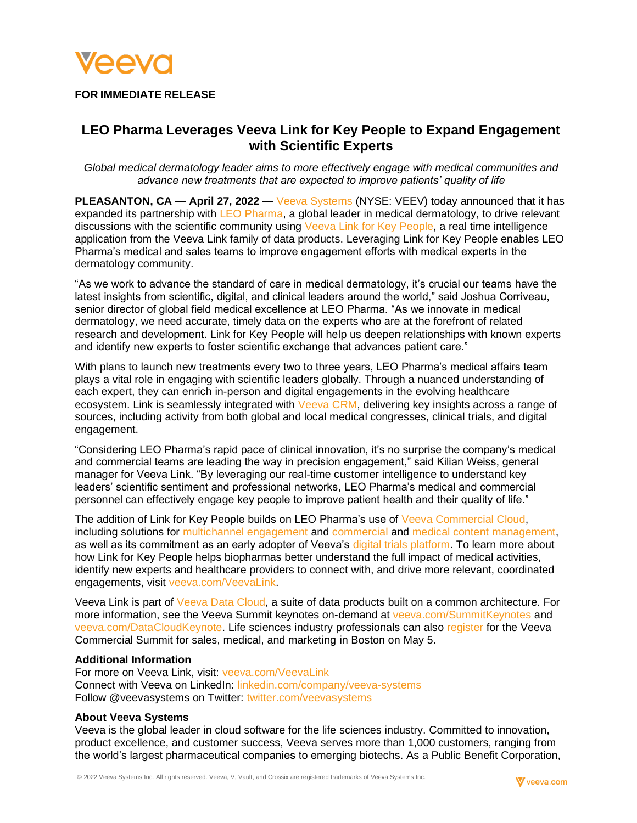

## **FOR IMMEDIATE RELEASE**

# **LEO Pharma Leverages Veeva Link for Key People to Expand Engagement with Scientific Experts**

*Global medical dermatology leader aims to more effectively engage with medical communities and advance new treatments that are expected to improve patients' quality of life* 

**PLEASANTON, CA — April 27, 2022 —** [Veeva Systems](https://www.veeva.com/) (NYSE: VEEV) today announced that it has expanded its partnership with [LEO Pharma,](https://www.leo-pharma.com/) a global leader in medical dermatology, to drive relevant discussions with the scientific community using [Veeva Link for Key People,](https://www.veeva.com/link) a real time intelligence application from the Veeva Link family of data products. Leveraging Link for Key People enables LEO Pharma's medical and sales teams to improve engagement efforts with medical experts in the dermatology community.

"As we work to advance the standard of care in medical dermatology, it's crucial our teams have the latest insights from scientific, digital, and clinical leaders around the world," said Joshua Corriveau, senior director of global field medical excellence at LEO Pharma. "As we innovate in medical dermatology, we need accurate, timely data on the experts who are at the forefront of related research and development. Link for Key People will help us deepen relationships with known experts and identify new experts to foster scientific exchange that advances patient care."

With plans to launch new treatments every two to three years, LEO Pharma's medical affairs team plays a vital role in engaging with scientific leaders globally. Through a nuanced understanding of each expert, they can enrich in-person and digital engagements in the evolving healthcare ecosystem. Link is seamlessly integrated with [Veeva CRM,](https://www.veeva.com/products/multichannel-crm/) delivering key insights across a range of sources, including activity from both global and local medical congresses, clinical trials, and digital engagement.

"Considering LEO Pharma's rapid pace of clinical innovation, it's no surprise the company's medical and commercial teams are leading the way in precision engagement," said Kilian Weiss, general manager for Veeva Link. "By leveraging our real-time customer intelligence to understand key leaders' scientific sentiment and professional networks, LEO Pharma's medical and commercial personnel can effectively engage key people to improve patient health and their quality of life."

The addition of Link for Key People builds on LEO Pharma's use of [Veeva Commercial Cloud,](https://www.veeva.com/products/commercial-cloud/) including solutions for [multichannel engagement](https://www.veeva.com/products/multichannel-crm/) and [commercial](https://www.veeva.com/products/content-management/vault-promomats/) and [medical content management,](https://www.veeva.com/products/vault-medcomms/) as well as its commitment as an early adopter of Veeva's [digital trials platform.](https://www.veeva.com/products/digital-trials-platform/) To learn more about how Link for Key People helps biopharmas better understand the full impact of medical activities, identify new experts and healthcare providers to connect with, and drive more relevant, coordinated engagements, visit [veeva.com/VeevaLink.](https://www.veeva.com/link)

Veeva Link is part of [Veeva Data Cloud,](https://www.veeva.com/products/veeva-data-cloud/) a suite of data products built on a common architecture. For more information, see the Veeva Summit keynotes on-demand at [veeva.com/SummitKeynotes](https://www.veeva.com/events/commercial-summit/keynotes/) and [veeva.com/DataCloudKeynote.](http://veeva.com/DataCloudKeynote) Life sciences industry professionals can also [register](https://www.veeva.com/events/commercial-summit/register/) for the Veeva Commercial Summit for sales, medical, and marketing in Boston on May 5.

#### **Additional Information**

For more on Veeva Link, visit: [veeva.com/VeevaLink](https://www.veeva.com/link) Connect with Veeva on LinkedIn: [linkedin.com/company/veeva-systems](http://www.linkedin.com/company/veeva-systems) Follow @veevasystems on Twitter: [twitter.com/veevasystems](http://twitter.com/veevasystems)

#### **About Veeva Systems**

Veeva is the global leader in cloud software for the life sciences industry. Committed to innovation, product excellence, and customer success, Veeva serves more than 1,000 customers, ranging from the world's largest pharmaceutical companies to emerging biotechs. As a Public Benefit Corporation,